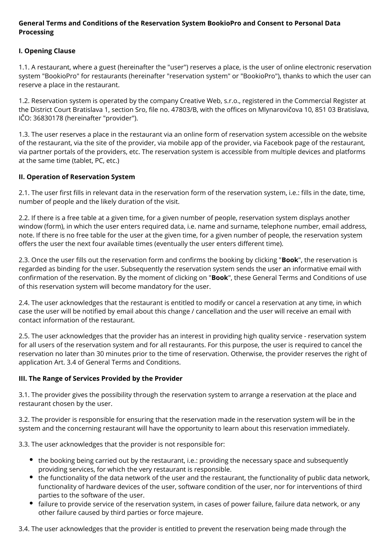### **General Terms and Conditions of the Reservation System BookioPro and Consent to Personal Data Processing**

# **I. Opening Clause**

1.1. A restaurant, where a guest (hereinafter the "user") reserves a place, is the user of online electronic reservation system "BookioPro" for restaurants (hereinafter "reservation system" or "BookioPro"), thanks to which the user can reserve a place in the restaurant.

1.2. Reservation system is operated by the company Creative Web, s.r.o., registered in the Commercial Register at the District Court Bratislava 1, section Sro, file no. 47803/B, with the offices on Mlynarovičova 10, 851 03 Bratislava, IČO: 36830178 (hereinafter "provider").

1.3. The user reserves a place in the restaurant via an online form of reservation system accessible on the website of the restaurant, via the site of the provider, via mobile app of the provider, via Facebook page of the restaurant, via partner portals of the providers, etc. The reservation system is accessible from multiple devices and platforms at the same time (tablet, PC, etc.)

### **II. Operation of Reservation System**

2.1. The user first fills in relevant data in the reservation form of the reservation system, i.e.: fills in the date, time, number of people and the likely duration of the visit.

2.2. If there is a free table at a given time, for a given number of people, reservation system displays another window (form), in which the user enters required data, i.e. name and surname, telephone number, email address, note. If there is no free table for the user at the given time, for a given number of people, the reservation system offers the user the next four available times (eventually the user enters different time).

2.3. Once the user fills out the reservation form and confirms the booking by clicking "**Book**", the reservation is regarded as binding for the user. Subsequently the reservation system sends the user an informative email with confirmation of the reservation. By the moment of clicking on "**Book**", these General Terms and Conditions of use of this reservation system will become mandatory for the user.

2.4. The user acknowledges that the restaurant is entitled to modify or cancel a reservation at any time, in which case the user will be notified by email about this change / cancellation and the user will receive an email with contact information of the restaurant.

2.5. The user acknowledges that the provider has an interest in providing high quality service - reservation system for all users of the reservation system and for all restaurants. For this purpose, the user is required to cancel the reservation no later than 30 minutes prior to the time of reservation. Otherwise, the provider reserves the right of application Art. 3.4 of General Terms and Conditions.

# **III. The Range of Services Provided by the Provider**

3.1. The provider gives the possibility through the reservation system to arrange a reservation at the place and restaurant chosen by the user.

3.2. The provider is responsible for ensuring that the reservation made in the reservation system will be in the system and the concerning restaurant will have the opportunity to learn about this reservation immediately.

3.3. The user acknowledges that the provider is not responsible for:

- the booking being carried out by the restaurant, i.e.: providing the necessary space and subsequently providing services, for which the very restaurant is responsible.
- the functionality of the data network of the user and the restaurant, the functionality of public data network, functionality of hardware devices of the user, software condition of the user, nor for interventions of third parties to the software of the user.
- $\bullet$ failure to provide service of the reservation system, in cases of power failure, failure data network, or any other failure caused by third parties or force majeure.

3.4. The user acknowledges that the provider is entitled to prevent the reservation being made through the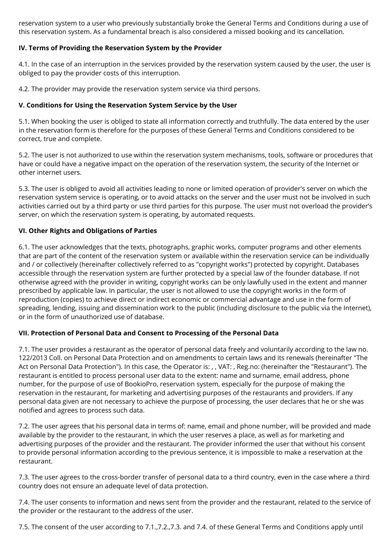reservation system to a user who previously substantially broke the General Terms and Conditions during a use of this reservation system. As a fundamental breach is also considered a missed booking and its cancellation.

## **IV. Terms of Providing the Reservation System by the Provider**

4.1. In the case of an interruption in the services provided by the reservation system caused by the user, the user is obliged to pay the provider costs of this interruption.

4.2. The provider may provide the reservation system service via third persons.

## **V. Conditions for Using the Reservation System Service by the User**

5.1. When booking the user is obliged to state all information correctly and truthfully. The data entered by the user in the reservation form is therefore for the purposes of these General Terms and Conditions considered to be correct, true and complete.

5.2. The user is not authorized to use within the reservation system mechanisms, tools, software or procedures that have or could have a negative impact on the operation of the reservation system, the security of the Internet or other internet users.

5.3. The user is obliged to avoid all activities leading to none or limited operation of provider's server on which the reservation system service is operating, or to avoid attacks on the server and the user must not be involved in such activities carried out by a third party or use third parties for this purpose. The user must not overload the provider's server, on which the reservation system is operating, by automated requests.

### **VI. Other Rights and Obligations of Parties**

6.1. The user acknowledges that the texts, photographs, graphic works, computer programs and other elements that are part of the content of the reservation system or available within the reservation service can be individually and / or collectively (hereinafter collectively referred to as "copyright works") protected by copyright. Databases accessible through the reservation system are further protected by a special law of the founder database. If not otherwise agreed with the provider in writing, copyright works can be only lawfully used in the extent and manner prescribed by applicable law. In particular, the user is not allowed to use the copyright works in the form of reproduction (copies) to achieve direct or indirect economic or commercial advantage and use in the form of spreading, lending, issuing and dissemination work to the public (including disclosure to the public via the Internet), or in the form of unauthorized use of database.

# **VII. Protection of Personal Data and Consent to Processing of the Personal Data**

7.1. The user provides a restaurant as the operator of personal data freely and voluntarily according to the law no. 122/2013 Coll. on Personal Data Protection and on amendments to certain laws and its renewals (hereinafter "The Act on Personal Data Protection"). In this case, the Operator is: , , VAT: , Reg.no: (hereinafter the "Restaurant"). The restaurant is entitled to process personal user data to the extent: name and surname, email address, phone number, for the purpose of use of BookioPro, reservation system, especially for the purpose of making the reservation in the restaurant, for marketing and advertising purposes of the restaurants and providers. If any personal data given are not necessary to achieve the purpose of processing, the user declares that he or she was notified and agrees to process such data.

7.2. The user agrees that his personal data in terms of: name, email and phone number, will be provided and made available by the provider to the restaurant, in which the user reserves a place, as well as for marketing and advertising purposes of the provider and the restaurant. The provider informed the user that without his consent to provide personal information according to the previous sentence, it is impossible to make a reservation at the restaurant.

7.3. The user agrees to the cross-border transfer of personal data to a third country, even in the case where a third country does not ensure an adequate level of data protection.

7.4. The user consents to information and news sent from the provider and the restaurant, related to the service of the provider or the restaurant to the address of the user.

7.5. The consent of the user according to 7.1.,7.2.,7.3. and 7.4. of these General Terms and Conditions apply until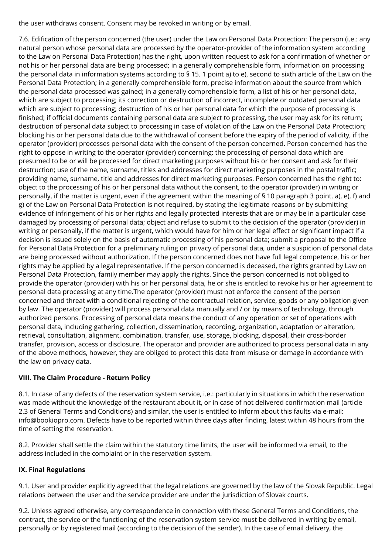the user withdraws consent. Consent may be revoked in writing or by email.

7.6. Edification of the person concerned (the user) under the Law on Personal Data Protection: The person (i.e.: any natural person whose personal data are processed by the operator-provider of the information system according to the Law on Personal Data Protection) has the right, upon written request to ask for a confirmation of whether or not his or her personal data are being processed; in a generally comprehensible form, information on processing the personal data in information systems according to § 15. 1 point a) to e), second to sixth article of the Law on the Personal Data Protection; in a generally comprehensible form, precise information about the source from which the personal data processed was gained; in a generally comprehensible form, a list of his or her personal data, which are subject to processing; its correction or destruction of incorrect, incomplete or outdated personal data which are subject to processing; destruction of his or her personal data for which the purpose of processing is finished; if official documents containing personal data are subject to processing, the user may ask for its return; destruction of personal data subject to processing in case of violation of the Law on the Personal Data Protection; blocking his or her personal data due to the withdrawal of consent before the expiry of the period of validity, if the operator (provider) processes personal data with the consent of the person concerned. Person concerned has the right to oppose in writing to the operator (provider) concerning: the processing of personal data which are presumed to be or will be processed for direct marketing purposes without his or her consent and ask for their destruction; use of the name, surname, titles and addresses for direct marketing purposes in the postal traffic; providing name, surname, title and addresses for direct marketing purposes. Person concerned has the right to: object to the processing of his or her personal data without the consent, to the operator (provider) in writing or personally, if the matter is urgent, even if the agreement within the meaning of § 10 paragraph 3 point. a), e), f) and g) of the Law on Personal Data Protection is not required, by stating the legitimate reasons or by submitting evidence of infringement of his or her rights and legally protected interests that are or may be in a particular case damaged by processing of personal data; object and refuse to submit to the decision of the operator (provider) in writing or personally, if the matter is urgent, which would have for him or her legal effect or significant impact if a decision is issued solely on the basis of automatic processing of his personal data; submit a proposal to the Office for Personal Data Protection for a preliminary ruling on privacy of personal data, under a suspicion of personal data are being processed without authorization. If the person concerned does not have full legal competence, his or her rights may be applied by a legal representative. If the person concerned is deceased, the rights granted by Law on Personal Data Protection, family member may apply the rights. Since the person concerned is not obliged to provide the operator (provider) with his or her personal data, he or she is entitled to revoke his or her agreement to personal data processing at any time.The operator (provider) must not enforce the consent of the person concerned and threat with a conditional rejecting of the contractual relation, service, goods or any obligation given by law. The operator (provider) will process personal data manually and / or by means of technology, through authorized persons. Processing of personal data means the conduct of any operation or set of operations with personal data, including gathering, collection, dissemination, recording, organization, adaptation or alteration, retrieval, consultation, alignment, combination, transfer, use, storage, blocking, disposal, their cross-border transfer, provision, access or disclosure. The operator and provider are authorized to process personal data in any of the above methods, however, they are obliged to protect this data from misuse or damage in accordance with the law on privacy data.

# **VIII. The Claim Procedure - Return Policy**

8.1. In case of any defects of the reservation system service, i.e.: particularly in situations in which the reservation was made without the knowledge of the restaurant about it, or in case of not delivered confirmation mail (article 2.3 of General Terms and Conditions) and similar, the user is entitled to inform about this faults via e-mail: info@bookiopro.com. Defects have to be reported within three days after finding, latest within 48 hours from the time of setting the reservation.

8.2. Provider shall settle the claim within the statutory time limits, the user will be informed via email, to the address included in the complaint or in the reservation system.

# **IX. Final Regulations**

9.1. User and provider explicitly agreed that the legal relations are governed by the law of the Slovak Republic. Legal relations between the user and the service provider are under the jurisdiction of Slovak courts.

9.2. Unless agreed otherwise, any correspondence in connection with these General Terms and Conditions, the contract, the service or the functioning of the reservation system service must be delivered in writing by email, personally or by registered mail (according to the decision of the sender). In the case of email delivery, the